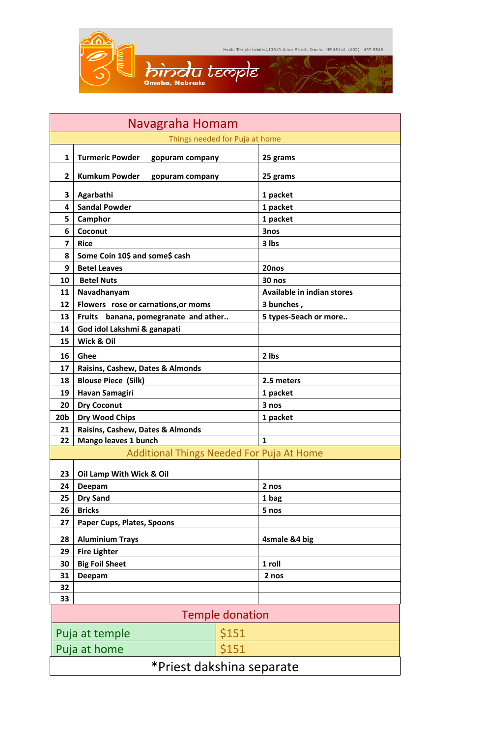

| Navagraha Homam                                  |                                                |        |                            |  |  |
|--------------------------------------------------|------------------------------------------------|--------|----------------------------|--|--|
| Things needed for Puja at home                   |                                                |        |                            |  |  |
| $\mathbf{1}$                                     | <b>Turmeric Powder</b><br>gopuram company      |        | 25 grams                   |  |  |
| $\mathbf{2}$                                     | <b>Kumkum Powder</b><br>gopuram company        |        | 25 grams                   |  |  |
| 3                                                | Agarbathi                                      |        | 1 packet                   |  |  |
| 4                                                | <b>Sandal Powder</b>                           |        | 1 packet                   |  |  |
| 5                                                | Camphor                                        |        | 1 packet                   |  |  |
| 6                                                | Coconut                                        |        | 3nos                       |  |  |
| 7                                                | <b>Rice</b>                                    |        | 3 lbs                      |  |  |
| 8                                                | Some Coin 10\$ and some\$ cash                 |        |                            |  |  |
| 9                                                | <b>Betel Leaves</b>                            |        | 20nos                      |  |  |
| 10                                               | <b>Betel Nuts</b>                              | 30 nos |                            |  |  |
| 11                                               | Navadhanyam                                    |        | Available in indian stores |  |  |
| 12                                               | Flowers rose or carnations, or moms            |        | 3 bunches,                 |  |  |
| 13                                               | <b>Fruits</b><br>banana, pomegranate and ather |        | 5 types-5each or more      |  |  |
| 14                                               | God idol Lakshmi & ganapati                    |        |                            |  |  |
| 15                                               | Wick & Oil                                     |        |                            |  |  |
| 16                                               | Ghee                                           |        | 2 lbs                      |  |  |
| 17                                               | Raisins, Cashew, Dates & Almonds               |        |                            |  |  |
| 18                                               | <b>Blouse Piece (Silk)</b>                     |        | 2.5 meters                 |  |  |
| 19                                               | Havan Samagiri                                 |        | 1 packet                   |  |  |
| 20                                               | <b>Dry Coconut</b>                             |        | 3 nos                      |  |  |
| 20 <sub>b</sub>                                  | <b>Dry Wood Chips</b>                          |        | 1 packet                   |  |  |
| 21                                               | Raisins, Cashew, Dates & Almonds               |        |                            |  |  |
| 22                                               | Mango leaves 1 bunch                           |        |                            |  |  |
| <b>Additional Things Needed For Puja At Home</b> |                                                |        |                            |  |  |
| 23                                               | Oil Lamp With Wick & Oil                       |        |                            |  |  |
| 24                                               | Deepam                                         |        | 2 nos                      |  |  |
| 25                                               | <b>Dry Sand</b>                                |        | 1 bag                      |  |  |
| 26                                               | <b>Bricks</b>                                  |        | 5 nos                      |  |  |
| 27                                               | Paper Cups, Plates, Spoons                     |        |                            |  |  |
| 28                                               | <b>Aluminium Trays</b>                         |        | 4smale &4 big              |  |  |
| 29                                               | <b>Fire Lighter</b>                            |        |                            |  |  |
| 30                                               | <b>Big Foil Sheet</b>                          |        | 1 roll                     |  |  |
| 31                                               | Deepam                                         |        | 2 nos                      |  |  |
| 32                                               |                                                |        |                            |  |  |
| 33                                               |                                                |        |                            |  |  |
| <b>Temple donation</b>                           |                                                |        |                            |  |  |
| Puja at temple                                   |                                                | \$151  |                            |  |  |
|                                                  | Puja at home                                   | \$151  |                            |  |  |
|                                                  | *Priest dakshina separate                      |        |                            |  |  |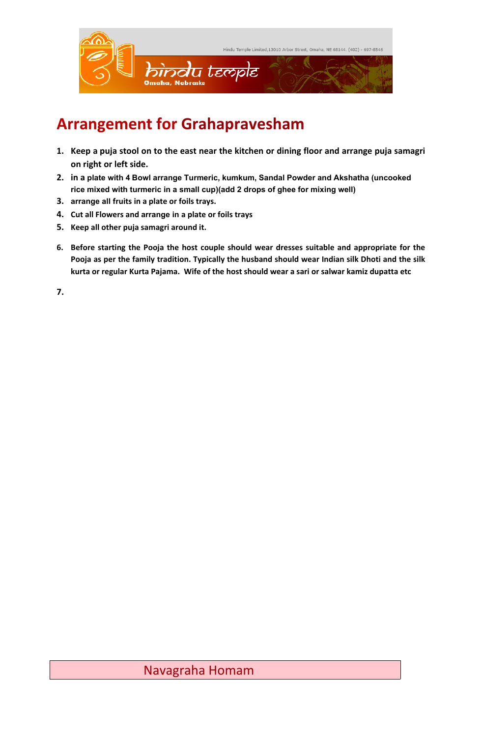

## **Arrangement for Grahapravesham**

- **1. Keep a puja stool on to the east near the kitchen or dining floor and arrange puja samagri on right or left side.**
- **2. in a plate with 4 Bowl arrange Turmeric, kumkum, Sandal Powder and Akshatha (uncooked rice mixed with turmeric in a small cup)(add 2 drops of ghee for mixing well)**
- **3. arrange all fruits in a plate or foils trays.**
- **4. Cut all Flowers and arrange in a plate or foils trays**
- **5. Keep all other puja samagri around it.**
- **6. Before starting the Pooja the host couple should wear dresses suitable and appropriate for the Pooja as per the family tradition. Typically the husband should wear Indian silk Dhoti and the silk kurta or regular Kurta Pajama. Wife of the host should wear a sari or salwar kamiz dupatta etc**

**7.**

## Navagraha Homam